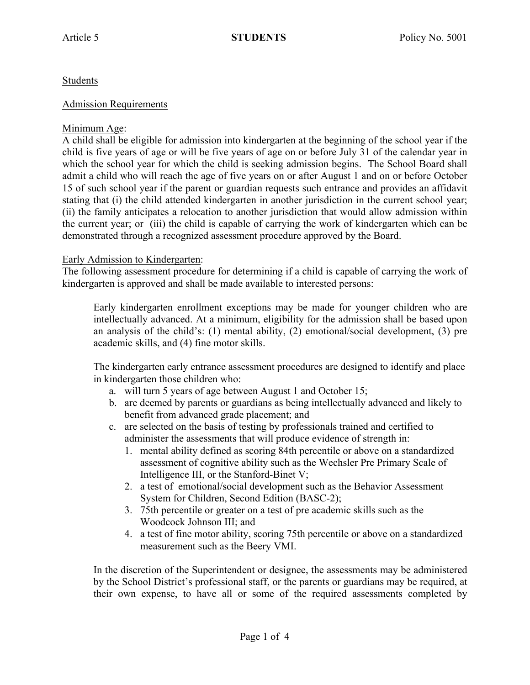# Students

### Admission Requirements

# Minimum Age:

A child shall be eligible for admission into kindergarten at the beginning of the school year if the child is five years of age or will be five years of age on or before July 31 of the calendar year in which the school year for which the child is seeking admission begins. The School Board shall admit a child who will reach the age of five years on or after August 1 and on or before October 15 of such school year if the parent or guardian requests such entrance and provides an affidavit stating that (i) the child attended kindergarten in another jurisdiction in the current school year; (ii) the family anticipates a relocation to another jurisdiction that would allow admission within the current year; or (iii) the child is capable of carrying the work of kindergarten which can be demonstrated through a recognized assessment procedure approved by the Board.

# Early Admission to Kindergarten:

The following assessment procedure for determining if a child is capable of carrying the work of kindergarten is approved and shall be made available to interested persons:

Early kindergarten enrollment exceptions may be made for younger children who are intellectually advanced. At a minimum, eligibility for the admission shall be based upon an analysis of the child's: (1) mental ability, (2) emotional/social development, (3) pre academic skills, and (4) fine motor skills.

The kindergarten early entrance assessment procedures are designed to identify and place in kindergarten those children who:

- a. will turn 5 years of age between August 1 and October 15;
- b. are deemed by parents or guardians as being intellectually advanced and likely to benefit from advanced grade placement; and
- c. are selected on the basis of testing by professionals trained and certified to administer the assessments that will produce evidence of strength in:
	- 1. mental ability defined as scoring 84th percentile or above on a standardized assessment of cognitive ability such as the Wechsler Pre Primary Scale of Intelligence III, or the Stanford-Binet V;
	- 2. a test of emotional/social development such as the Behavior Assessment System for Children, Second Edition (BASC-2);
	- 3. 75th percentile or greater on a test of pre academic skills such as the Woodcock Johnson III; and
	- 4. a test of fine motor ability, scoring 75th percentile or above on a standardized measurement such as the Beery VMI.

In the discretion of the Superintendent or designee, the assessments may be administered by the School District's professional staff, or the parents or guardians may be required, at their own expense, to have all or some of the required assessments completed by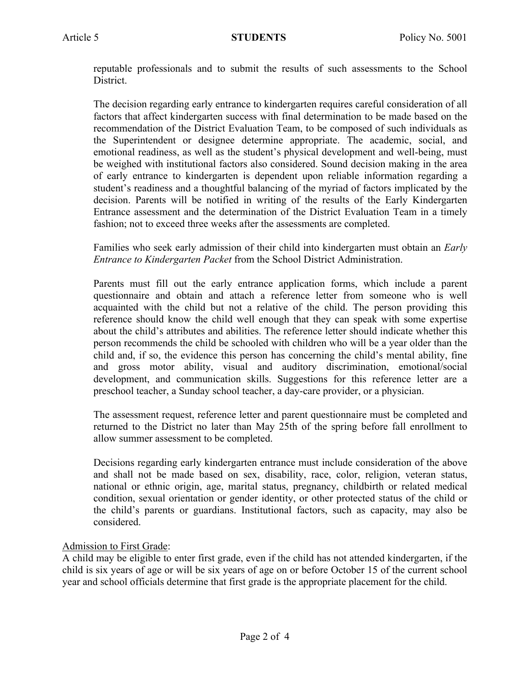reputable professionals and to submit the results of such assessments to the School District.

The decision regarding early entrance to kindergarten requires careful consideration of all factors that affect kindergarten success with final determination to be made based on the recommendation of the District Evaluation Team, to be composed of such individuals as the Superintendent or designee determine appropriate. The academic, social, and emotional readiness, as well as the student's physical development and well-being, must be weighed with institutional factors also considered. Sound decision making in the area of early entrance to kindergarten is dependent upon reliable information regarding a student's readiness and a thoughtful balancing of the myriad of factors implicated by the decision. Parents will be notified in writing of the results of the Early Kindergarten Entrance assessment and the determination of the District Evaluation Team in a timely fashion; not to exceed three weeks after the assessments are completed.

Families who seek early admission of their child into kindergarten must obtain an *Early Entrance to Kindergarten Packet* from the School District Administration.

Parents must fill out the early entrance application forms, which include a parent questionnaire and obtain and attach a reference letter from someone who is well acquainted with the child but not a relative of the child. The person providing this reference should know the child well enough that they can speak with some expertise about the child's attributes and abilities. The reference letter should indicate whether this person recommends the child be schooled with children who will be a year older than the child and, if so, the evidence this person has concerning the child's mental ability, fine and gross motor ability, visual and auditory discrimination, emotional/social development, and communication skills. Suggestions for this reference letter are a preschool teacher, a Sunday school teacher, a day-care provider, or a physician.

The assessment request, reference letter and parent questionnaire must be completed and returned to the District no later than May 25th of the spring before fall enrollment to allow summer assessment to be completed.

Decisions regarding early kindergarten entrance must include consideration of the above and shall not be made based on sex, disability, race, color, religion, veteran status, national or ethnic origin, age, marital status, pregnancy, childbirth or related medical condition, sexual orientation or gender identity, or other protected status of the child or the child's parents or guardians. Institutional factors, such as capacity, may also be considered.

#### Admission to First Grade:

A child may be eligible to enter first grade, even if the child has not attended kindergarten, if the child is six years of age or will be six years of age on or before October 15 of the current school year and school officials determine that first grade is the appropriate placement for the child.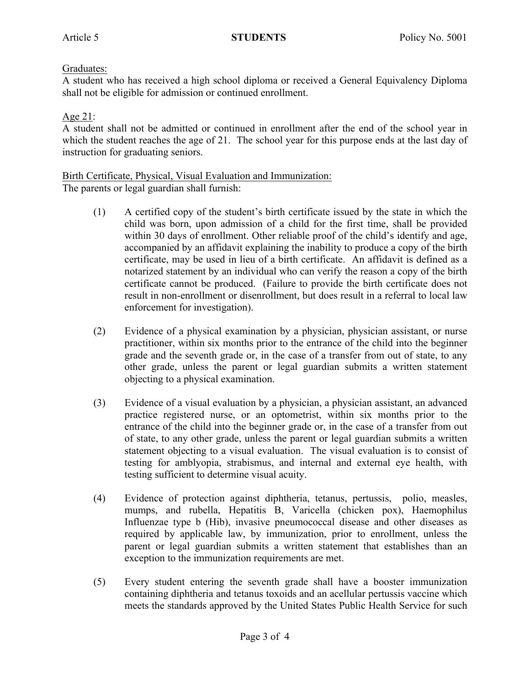# Graduates:

A student who has received a high school diploma or received a General Equivalency Diploma shall not be eligible for admission or continued enrollment.

# Age 21:

A student shall not be admitted or continued in enrollment after the end of the school year in which the student reaches the age of 21. The school year for this purpose ends at the last day of instruction for graduating seniors.

# Birth Certificate, Physical, Visual Evaluation and Immunization:

The parents or legal guardian shall furnish:

- (1) A certified copy of the student's birth certificate issued by the state in which the child was born, upon admission of a child for the first time, shall be provided within 30 days of enrollment. Other reliable proof of the child's identify and age, accompanied by an affidavit explaining the inability to produce a copy of the birth certificate, may be used in lieu of a birth certificate. An affidavit is defined as a notarized statement by an individual who can verify the reason a copy of the birth certificate cannot be produced. (Failure to provide the birth certificate does not result in non-enrollment or disenrollment, but does result in a referral to local law enforcement for investigation).
- (2) Evidence of a physical examination by a physician, physician assistant, or nurse practitioner, within six months prior to the entrance of the child into the beginner grade and the seventh grade or, in the case of a transfer from out of state, to any other grade, unless the parent or legal guardian submits a written statement objecting to a physical examination.
- (3) Evidence of a visual evaluation by a physician, a physician assistant, an advanced practice registered nurse, or an optometrist, within six months prior to the entrance of the child into the beginner grade or, in the case of a transfer from out of state, to any other grade, unless the parent or legal guardian submits a written statement objecting to a visual evaluation. The visual evaluation is to consist of testing for amblyopia, strabismus, and internal and external eye health, with testing sufficient to determine visual acuity.
- (4) Evidence of protection against diphtheria, tetanus, pertussis, polio, measles, mumps, and rubella, Hepatitis B, Varicella (chicken pox), Haemophilus Influenzae type b (Hib), invasive pneumococcal disease and other diseases as required by applicable law, by immunization, prior to enrollment, unless the parent or legal guardian submits a written statement that establishes than an exception to the immunization requirements are met.
- (5) Every student entering the seventh grade shall have a booster immunization containing diphtheria and tetanus toxoids and an acellular pertussis vaccine which meets the standards approved by the United States Public Health Service for such